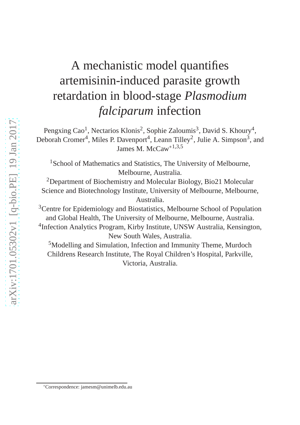# A mechanistic model quantifies artemisinin-induced parasite growth retardation in blood-stage *Plasmodium falciparum* infection

Pengxing Cao<sup>1</sup>, Nectarios Klonis<sup>2</sup>, Sophie Zaloumis<sup>3</sup>, David S. Khoury<sup>4</sup>, Deborah Cromer<sup>4</sup>, Miles P. Davenport<sup>4</sup>, Leann Tilley<sup>2</sup>, Julie A. Simpson<sup>3</sup>, and James M. McCaw∗1,3,5

<sup>1</sup>School of Mathematics and Statistics, The University of Melbourne, Melbourne, Australia.

<sup>2</sup>Department of Biochemistry and Molecular Biology, Bio21 Molecular Science and Biotechnology Institute, University of Melbourne, Melbourne, Australia.

<sup>3</sup>Centre for Epidemiology and Biostatistics, Melbourne School of Population and Global Health, The University of Melbourne, Melbourne, Australia. 4 Infection Analytics Program, Kirby Institute, UNSW Australia, Kensington, New South Wales, Australia.

<sup>5</sup>Modelling and Simulation, Infection and Immunity Theme, Murdoch Childrens Research Institute, The Royal Children's Hospital, Parkville, Victoria, Australia.

<sup>∗</sup>Correspondence: jamesm@unimelb.edu.au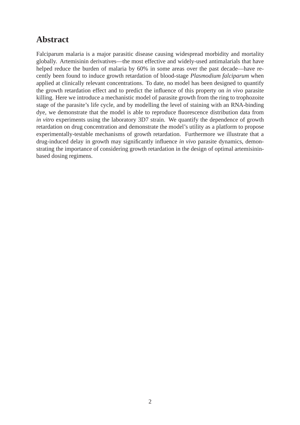# **Abstract**

Falciparum malaria is a major parasitic disease causing widespread morbidity and mortality globally. Artemisinin derivatives—the most effective and widely-used antimalarials that have helped reduce the burden of malaria by 60% in some areas over the past decade—have recently been found to induce growth retardation of blood-stage *Plasmodium falciparum* when applied at clinically relevant concentrations. To date, no model has been designed to quantify the growth retardation effect and to predict the influence of this property on *in vivo* parasite killing. Here we introduce a mechanistic model of parasite growth from the ring to trophozoite stage of the parasite's life cycle, and by modelling the level of staining with an RNA-binding dye, we demonstrate that the model is able to reproduce fluorescence distribution data from *in vitro* experiments using the laboratory 3D7 strain. We quantify the dependence of growth retardation on drug concentration and demonstrate the model's utility as a platform to propose experimentally-testable mechanisms of growth retardation. Furthermore we illustrate that a drug-induced delay in growth may significantly influence *in vivo* parasite dynamics, demonstrating the importance of considering growth retardation in the design of optimal artemisininbased dosing regimens.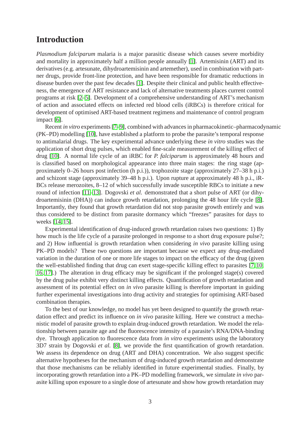### **Introduction**

*Plasmodium falciparum* malaria is a major parasitic disease which causes severe morbidity and mortality in approximately half a million people annually [\[1\]](#page-20-0). Artemisinin (ART) and its derivatives (e.g. artesunate, dihydroartemisinin and artemether), used in combination with partner drugs, provide front-line protection, and have been responsible for dramatic reductions in disease burden over the past few decades [\[1\]](#page-20-0). Despite their clinical and public health effectiveness, the emergence of ART resistance and lack of alternative treatments places current control programs at risk [\[2](#page-20-1)[–5\]](#page-20-2). Development of a comprehensive understanding of ART's mechanism of action and associated effects on infected red blood cells (iRBCs) is therefore critical for development of optimised ART-based treatment regimens and maintenance of control program impact [\[6\]](#page-20-3).

Recent *in vitro* experiments [\[7](#page-20-4)[–9\]](#page-20-5), combined with advances in pharmacokinetic–pharmacodynamic (PK–PD) modelling [\[10\]](#page-20-6), have established a platform to probe the parasite's temporal response to antimalarial drugs. The key experimental advance underlying these *in vitro* studies was the application of short drug pulses, which enabled fine-scale measurement of the killing effect of drug [\[10\]](#page-20-6). A normal life cycle of an iRBC for *P. falciparum* is approximately 48 hours and is classified based on morphological appearance into three main stages: the ring stage (approximately 0–26 hours post infection (h p.i.)), trophozoite stage (approximately 27–38 h p.i.) and schizont stage (approximately 39–48 h p.i.). Upon rupture at approximately 48 h p.i., iR-BCs release merozoites, 8–12 of which successfully invade susceptible RBCs to initiate a new round of infection [\[11](#page-20-7)[–13\]](#page-20-8). Dogovski *et al.* demonstrated that a short pulse of ART (or dihydroartemisinin (DHA)) can induce growth retardation, prolonging the 48 hour life cycle [\[8\]](#page-20-9). Importantly, they found that growth retardation did not stop parasite growth entirely and was thus considered to be distinct from parasite dormancy which "freezes" parasites for days to weeks [\[14,](#page-21-0) [15\]](#page-21-1).

Experimental identification of drug-induced growth retardation raises two questions: 1) By how much is the life cycle of a parasite prolonged in response to a short drug exposure pulse?; and 2) How influential is growth retardation when considering *in vivo* parasite killing using PK–PD models? These two questions are important because we expect any drug-mediated variation in the duration of one or more life stages to impact on the efficacy of the drug (given the well-established finding that drug can exert stage-specific killing effect to parasites [\[7,](#page-20-4) [10,](#page-20-6) [16,](#page-21-2) [17\]](#page-21-3).) The alteration in drug efficacy may be significant if the prolonged stage(s) covered by the drug pulse exhibit very distinct killing effects. Quantification of growth retardation and assessment of its potential effect on *in vivo* parasite killing is therefore important in guiding further experimental investigations into drug activity and strategies for optimising ART-based combination therapies.

To the best of our knowledge, no model has yet been designed to quantify the growth retardation effect and predict its influence on *in vivo* parasite killing. Here we construct a mechanistic model of parasite growth to explain drug-induced growth retardation. We model the relationship between parasite age and the fluorescence intensity of a parasite's RNA/DNA-binding dye. Through application to fluorescence data from *in vitro* experiments using the laboratory 3D7 strain by Dogovski *et al.* [\[8\]](#page-20-9), we provide the first quantification of growth retardation. We assess its dependence on drug (ART and DHA) concentration. We also suggest specific alternative hypotheses for the mechanism of drug-induced growth retardation and demonstrate that those mechanisms can be reliably identified in future experimental studies. Finally, by incorporating growth retardation into a PK–PD modelling framework, we simulate *in vivo* parasite killing upon exposure to a single dose of artesunate and show how growth retardation may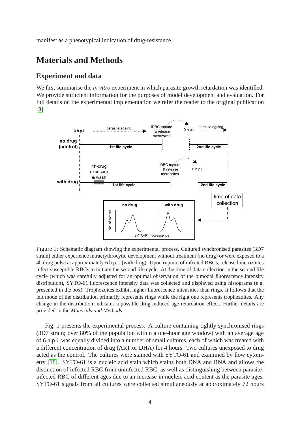manifest as a phenotypical indication of drug-resistance.

# **Materials and Methods**

#### **Experiment and data**

We first summarise the *in vitro* experiment in which parasite growth retardation was identified. We provide sufficient information for the purposes of model development and evaluation. For full details on the experimental implementation we refer the reader to the original publication [\[8\]](#page-20-9).



Figure 1: Schematic diagram showing the experimental process. Cultured synchronised parasites (3D7 strain) either experience intraerythrocytic development without treatment (no drug) or were exposed to a 4h drug pulse at approximately 6 h p.i. (with drug). Upon rupture of infected RBCs, released merozoites infect susceptible RBCs to initiate the second life cycle. At the time of data collection in the second life cycle (which was carefully adjusted for an optimal observation of the bimodal fluorescence intensity distribution), SYTO-61 fluorescence intensity data was collected and displayed using histograms (e.g. presented in the box). Trophozoites exhibit higher fluorescence intensities than rings. It follows that the left mode of the distribution primarily represents rings while the right one represents trophozoites. Any change in the distribution indicates a possible drug-induced age retardation effect. Further details are provided in the *Materials and Methods*.

Fig. 1 presents the experimental process. A culture containing tightly synchronised rings (3D7 strain; over 80% of the population within a one-hour age window) with an average age of 6 h p.i. was equally divided into a number of small cultures, each of which was treated with a different concentration of drug (ART or DHA) for 4 hours. Two cultures unexposed to drug acted as the control. The cultures were stained with SYTO-61 and examined by flow cytometry [\[18\]](#page-21-4). SYTO-61 is a nucleic acid stain which stains both DNA and RNA and allows the distinction of infected RBC from uninfected RBC, as well as distinguishing between parasiteinfected RBC of different ages due to an increase in nucleic acid content as the parasite ages. SYTO-61 signals from all cultures were collected simultaneously at approximately 72 hours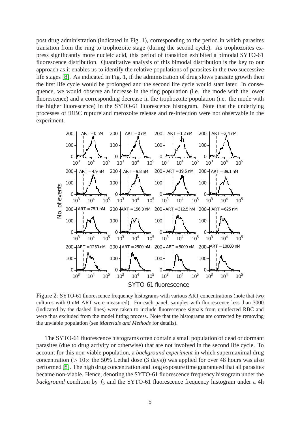post drug administration (indicated in Fig. 1), corresponding to the period in which parasites transition from the ring to trophozoite stage (during the second cycle). As trophozoites express significantly more nucleic acid, this period of transition exhibited a bimodal SYTO-61 fluorescence distribution. Quantitative analysis of this bimodal distribution is the key to our approach as it enables us to identify the relative populations of parasites in the two successive life stages [\[8\]](#page-20-9). As indicated in Fig. 1, if the administration of drug slows parasite growth then the first life cycle would be prolonged and the second life cycle would start later. In consequence, we would observe an increase in the ring population (i.e. the mode with the lower fluorescence) and a corresponding decrease in the trophozoite population (i.e. the mode with the higher fluorescence) in the SYTO-61 fluorescence histogram. Note that the underlying processes of iRBC rupture and merozoite release and re-infection were not observable in the experiment.



Figure 2: SYTO-61 fluorescence frequency histograms with various ART concentrations (note that two cultures with 0 nM ART were measured). For each panel, samples with fluorescence less than 3000 (indicated by the dashed lines) were taken to include fluorescence signals from uninfected RBC and were thus excluded from the model fitting process. Note that the histograms are corrected by removing the unviable population (see *Materials and Methods* for details).

The SYTO-61 fluorescence histograms often contain a small population of dead or dormant parasites (due to drug activity or otherwise) that are not involved in the second life cycle. To account for this non-viable population, a *background experiment* in which supermaximal drug concentration ( $> 10 \times$  the 50% Lethal dose (3 days)) was applied for over 48 hours was also performed [\[8\]](#page-20-9). The high drug concentration and long exposure time guaranteed that all parasites became non-viable. Hence, denoting the SYTO-61 fluorescence frequency histogram under the *background* condition by  $f_b$  and the SYTO-61 fluorescence frequency histogram under a 4h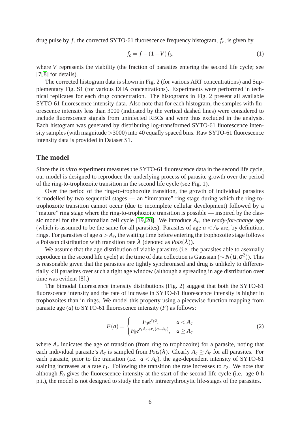drug pulse by  $f$ , the corrected SYTO-61 fluorescence frequency histogram,  $f_c$ , is given by

$$
f_c = f - (1 - V)f_b,
$$
 (1)

where *V* represents the viability (the fraction of parasites entering the second life cycle; see [\[7,](#page-20-4)8] for details).

The corrected histogram data is shown in Fig. 2 (for various ART concentrations) and Supplementary Fig. S1 (for various DHA concentrations). Experiments were performed in technical replicates for each drug concentration. The histograms in Fig. 2 present all available SYTO-61 fluorescence intensity data. Also note that for each histogram, the samples with fluorescence intensity less than 3000 (indicated by the vertical dashed lines) were considered to include fluorescence signals from uninfected RBCs and were thus excluded in the analysis. Each histogram was generated by distributing log-transformed SYTO-61 fluorescence intensity samples (with magnitude >3000) into 40 equally spaced bins. Raw SYTO-61 fluorescence intensity data is provided in Dataset S1.

#### **The model**

Since the *in vitro* experiment measures the SYTO-61 fluorescence data in the second life cycle, our model is designed to reproduce the underlying process of parasite growth over the period of the ring-to-trophozoite transition in the second life cycle (see Fig. 1).

Over the period of the ring-to-trophozoite transition, the growth of individual parasites is modelled by two sequential stages — an "immature" ring stage during which the ring-totrophozoite transition cannot occur (due to incomplete cellular development) followed by a "mature" ring stage where the ring-to-trophozoite transition is possible — inspired by the classic model for the mammalian cell cycle [\[19,](#page-21-5) [20\]](#page-21-6). We introduce *A<sup>r</sup>* , the *ready-for-change* age (which is assumed to be the same for all parasites). Parasites of age  $a < A_r$  are, by definition, rings. For parasites of age  $a > A_r$ , the waiting time before entering the trophozoite stage follows a Poisson distribution with transition rate  $\lambda$  (denoted as  $Pois(\lambda)$ ).

We assume that the age distribution of viable parasites (i.e. the parasites able to asexually reproduce in the second life cycle) at the time of data collection is Gaussian ( $\sim N(\mu, \sigma^2)$ ). This is reasonable given that the parasites are tightly synchronised and drug is unlikely to differentially kill parasites over such a tight age window (although a spreading in age distribution over time was evident [\[8\]](#page-20-9).)

The bimodal fluorescence intensity distributions (Fig. 2) suggest that both the SYTO-61 fluorescence intensity and the rate of increase in SYTO-61 fluorescence intensity is higher in trophozoites than in rings. We model this property using a piecewise function mapping from parasite age  $(a)$  to SYTO-61 fluorescence intensity  $(F)$  as follows:

<span id="page-5-0"></span>
$$
F(a) = \begin{cases} F_0 e^{r_1 a}, & a < A_c \\ F_0 e^{r_1 A_c + r_2 (a - A_c)}, & a \ge A_c \end{cases}
$$
 (2)

where  $A_c$  indicates the age of transition (from ring to trophozoite) for a parasite, noting that each individual parasite's  $A_c$  is sampled from  $Pois(\lambda)$ . Clearly  $A_c \geq A_r$  for all parasites. For each parasite, prior to the transition (i.e.  $a < A_c$ ), the age-dependent intensity of SYTO-61 staining increases at a rate  $r_1$ . Following the transition the rate increases to  $r_2$ . We note that although  $F_0$  gives the fluorescence intensity at the start of the second life cycle (i.e. age 0 h p.i.), the model is not designed to study the early intraerythrocytic life-stages of the parasites.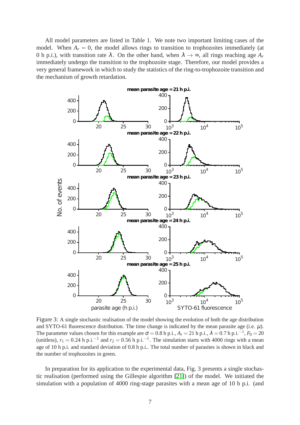All model parameters are listed in Table 1. We note two important limiting cases of the model. When  $A_r = 0$ , the model allows rings to transition to trophozoites immediately (at 0 h p.i.), with transition rate  $\lambda$ . On the other hand, when  $\lambda \to \infty$ , all rings reaching age  $A_r$ immediately undergo the transition to the trophozoite stage. Therefore, our model provides a very general framework in which to study the statistics of the ring-to-trophozoite transition and the mechanism of growth retardation.



Figure 3: A single stochastic realisation of the model showing the evolution of both the age distribution and SYTO-61 fluorescence distribution. The time change is indicated by the mean parasite age (i.e.  $\mu$ ). The parameter values chosen for this example are  $\sigma = 0.8$  h p.i.,  $A_r = 21$  h p.i.,  $\lambda = 0.7$  h p.i.<sup>-1</sup>,  $F_0 = 20$ (unitless),  $r_1 = 0.24$  h p.i.<sup>-1</sup> and  $r_2 = 0.56$  h p.i.<sup>-1</sup>. The simulation starts with 4000 rings with a mean age of 10 h p.i. and standard deviation of 0.8 h p.i.. The total number of parasites is shown in black and the number of trophozoites in green.

In preparation for its application to the experimental data, Fig. 3 presents a single stochastic realisation (performed using the Gillespie algorithm [\[21\]](#page-21-7)) of the model. We initiated the simulation with a population of 4000 ring-stage parasites with a mean age of 10 h p.i. (and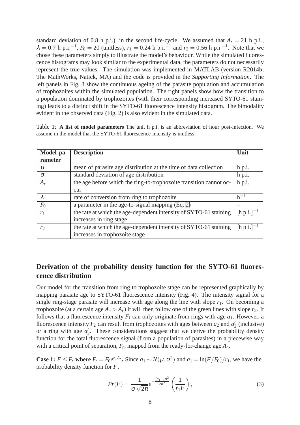standard deviation of 0.8 h p.i.) in the second life-cycle. We assumed that  $A_r = 21$  h p.i.,  $\lambda = 0.7$  h p.i.<sup>-1</sup>,  $F_0 = 20$  (unitless),  $r_1 = 0.24$  h p.i.<sup>-1</sup> and  $r_2 = 0.56$  h p.i.<sup>-1</sup>. Note that we chose these parameters simply to illustrate the model's behaviour. While the simulated fluorescence histograms may look similar to the experimental data, the parameters do not necessarily represent the true values. The simulation was implemented in MATLAB (version R2014b; The MathWorks, Natick, MA) and the code is provided in the *Supporting Information*. The left panels in Fig. 3 show the continuous ageing of the parasite population and accumulation of trophozoites within the simulated population. The right panels show how the transition to a population dominated by trophozoites (with their corresponding increased SYTO-61 staining) leads to a distinct shift in the SYTO-61 fluorescence intensity histogram. The bimodality evident in the observed data (Fig. 2) is also evident in the simulated data.

Table 1: **A list of model parameters** The unit h p.i. is an abbreviation of hour post-infection. We assume in the model that the SYTO-61 fluorescence intensity is unitless.

| Model pa-      | <b>Description</b>                                                 | Unit               |
|----------------|--------------------------------------------------------------------|--------------------|
| rameter        |                                                                    |                    |
| $\mu$          | mean of parasite age distribution at the time of data collection   | $h$ p.i.           |
| $\sigma$       | standard deviation of age distribution                             | h p.i.             |
| $A_r$          | the age before which the ring-to-trophozoite transition cannot oc- | h p.i.             |
|                | cur                                                                |                    |
| $\lambda$      | rate of conversion from ring to trophozoite                        | $h^{-1}$           |
| F <sub>0</sub> | a parameter in the age-to-signal mapping (Eq. 2)                   |                    |
| $r_1$          | the rate at which the age-dependent intensity of SYTO-61 staining  | $[h \, p.i.]^{-1}$ |
|                | increases in ring stage                                            |                    |
| r <sub>2</sub> | the rate at which the age-dependent intensity of SYTO-61 staining  | $[h \, p.i.]^{-1}$ |
|                | increases in trophozoite stage                                     |                    |

### **Derivation of the probability density function for the SYTO-61 fluorescence distribution**

Our model for the transition from ring to trophozoite stage can be represented graphically by mapping parasite age to SYTO-61 fluorescence intensity (Fig. 4). The intensity signal for a single ring-stage parasite will increase with age along the line with slope  $r_1$ . On becoming a trophozoite (at a certain age  $A_c > A_r$ ) it will then follow one of the green lines with slope  $r_2$ . It follows that a fluorescence intensity  $F_1$  can only originate from rings with age  $a_1$ . However, a fluorescence intensity  $F_2$  can result from trophozoites with ages between  $a_2$  and  $a'_2$  (inclusive) or a ring with age  $a'_2$ . These considerations suggest that we derive the probability density function for the total fluorescence signal (from a population of parasites) in a piecewise way with a critical point of separation,  $F_r$ , mapped from the ready-for-change age  $A_r$ .

**Case 1:**  $F \leq F_r$  where  $F_r = F_0 e^{r_1 A_r}$ . Since  $a_1 \sim N(\mu, \sigma^2)$  and  $a_1 = \ln(F/F_0)/r_1$ , we have the probability density function for *F*,

$$
Pr(F) = \frac{1}{\sigma \sqrt{2\pi}} e^{-\frac{(a_1 - \mu)^2}{2\sigma^2}} \left(\frac{1}{r_1 F}\right),
$$
 (3)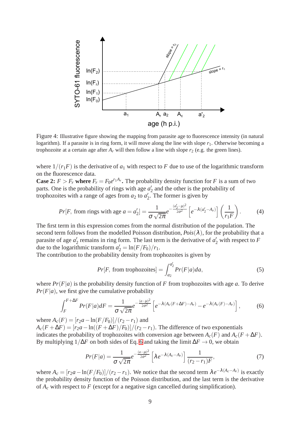

Figure 4: Illustrative figure showing the mapping from parasite age to fluorescence intensity (in natural logarithm). If a parasite is in ring form, it will move along the line with slope  $r_1$ . Otherwise becoming a trophozoite at a certain age after  $A_r$  will then follow a line with slope  $r_2$  (e.g. the green lines).

where  $1/(r_1F)$  is the derivative of  $a_1$  with respect to *F* due to use of the logarithmic transform on the fluorescence data.

**Case 2:**  $F > F_r$  where  $F_r = F_0 e^{r_1 A_r}$ . The probability density function for *F* is a sum of two parts. One is the probability of rings with age  $a'_2$  and the other is the probability of trophozoites with a range of ages from  $a_2$  to  $a'_2$ . The former is given by

$$
Pr[F, \text{ from rings with age } a = a_2'] = \frac{1}{\sigma \sqrt{2\pi}} e^{-\frac{(a_2'-\mu)^2}{2\sigma^2}} \left[ e^{-\lambda(a_2'-A_r)} \right] \left( \frac{1}{r_1F} \right). \tag{4}
$$

The first term in this expression comes from the normal distribution of the population. The second term follows from the modelled Poisson distribution,  $Pois(\lambda)$ , for the probability that a parasite of age  $a'_2$  remains in ring form. The last term is the derivative of  $a'_2$  with respect to *F* due to the logarithmic transform  $a'_2 = \ln(F/F_0)/r_1$ .

The contribution to the probability density from trophozoites is given by

$$
Pr[F, \text{ from trophozoites}] = \int_{a_2}^{a_2'} Pr(F|a)da,\tag{5}
$$

where  $Pr(F|a)$  is the probability density function of F from trophozoites with age a. To derive  $Pr(F|a)$ , we first give the cumulative probability

<span id="page-8-0"></span>
$$
\int_{F}^{F+\Delta F} Pr(F|a)dF = \frac{1}{\sigma\sqrt{2\pi}}e^{-\frac{(a-\mu)^2}{2\sigma^2}}\left[e^{-\lambda(A_c(F+\Delta F)-A_r)}-e^{-\lambda(A_c(F)-A_r)}\right],\tag{6}
$$

where  $A_c(F) = [r_2a - \ln(F/F_0)]/(r_2 - r_1)$  and  $A_c(F + \Delta F) = [r_2a - \ln((F + \Delta F)/F_0)]/(r_2 - r_1)$ . The difference of two exponentials indicates the probability of trophozoites with conversion age between  $A_c(F)$  and  $A_c(F + \Delta F)$ . By multiplying  $1/\Delta F$  on both sides of Eq. [6](#page-8-0) and taking the limit  $\Delta F \rightarrow 0$ , we obtain

<span id="page-8-1"></span>
$$
Pr(F|a) = \frac{1}{\sigma\sqrt{2\pi}}e^{-\frac{(a-\mu)^2}{2\sigma^2}}\left[\lambda e^{-\lambda(A_c-A_r)}\right]\frac{1}{(r_2-r_1)F},\tag{7}
$$

where  $A_c = [r_2a - \ln(F/F_0)]/(r_2 - r_1)$ . We notice that the second term  $\lambda e^{-\lambda(A_c - A_r)}$  is exactly the probability density function of the Poisson distribution, and the last term is the derivative of *A<sup>c</sup>* with respect to *F* (except for a negative sign cancelled during simplification).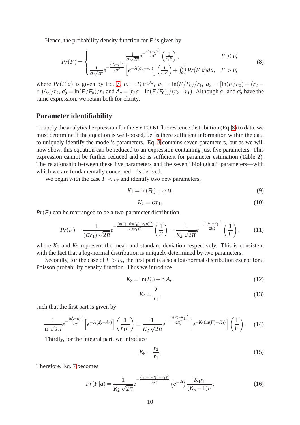Hence, the probability density function for  $F$  is given by

<span id="page-9-0"></span>
$$
Pr(F) = \begin{cases} \frac{1}{\sigma\sqrt{2\pi}}e^{-\frac{(a_{1}^{\prime}-\mu)^{2}}{2\sigma^{2}}}\left(\frac{1}{r_{1}F}\right), & F \leq F_{r} \\ \frac{1}{\sigma\sqrt{2\pi}}e^{-\frac{(a_{2}^{\prime}-\mu)^{2}}{2\sigma^{2}}}\left[e^{-\lambda(a_{2}^{\prime}-A_{r})}\right]\left(\frac{1}{r_{1}F}\right)+\int_{a_{2}}^{a_{2}^{\prime}}Pr(F|a)da, & F > F_{r} \end{cases}
$$
(8)

where  $Pr(F|a)$  is given by Eq. [7,](#page-8-1)  $F_r = F_0 e^{r_1 A_r}$ ,  $a_1 = \ln(F/F_0)/r_1$ ,  $a_2 = \ln(F/F_0) + (r_2 - r_1)$  $(r_1)A_r$ ,  $/r_2$ ,  $a'_2 = \ln(F/F_0)/r_1$  and  $A_c = [r_2a - \ln(F/F_0)]/(r_2 - r_1)$ . Although  $a_1$  and  $a'_2$  have the same expression, we retain both for clarity.

#### **Parameter identifiability**

To apply the analytical expression for the SYTO-61 fluorescence distribution (Eq. [8\)](#page-9-0) to data, we must determine if the equation is well-posed, i.e. is there sufficient information within the data to uniquely identify the model's parameters. Eq. [8](#page-9-0) contains seven parameters, but as we will now show, this equation can be reduced to an expression containing just five parameters. This expression cannot be further reduced and so is sufficient for parameter estimation (Table 2). The relationship between these five parameters and the seven "biological" parameters—with which we are fundamentally concerned—is derived.

We begin with the case  $F < F_r$  and identify two new parameters,

$$
K_1 = \ln(F_0) + r_1 \mu,\tag{9}
$$

$$
K_2 = \sigma r_1. \tag{10}
$$

 $Pr(F)$  can be rearranged to be a two-parameter distribution

$$
Pr(F) = \frac{1}{(\sigma r_1)\sqrt{2\pi}}e^{-\frac{[\ln(F) - (\ln(F_0) + r_1\mu)]^2}{2(\sigma r_1)^2}}\left(\frac{1}{F}\right) = \frac{1}{K_2\sqrt{2\pi}}e^{-\frac{[\ln(F) - K_1]^2}{2K_2^2}}\left(\frac{1}{F}\right),\tag{11}
$$

where  $K_1$  and  $K_2$  represent the mean and standard deviation respectively. This is consistent with the fact that a log-normal distribution is uniquely determined by two parameters.

Secondly, for the case of  $F > F_r$ , the first part is also a log-normal distribution except for a Poisson probability density function. Thus we introduce

$$
K_3 = \ln(F_0) + r_1 A_r,\tag{12}
$$

$$
K_4 = \frac{\lambda}{r_1},\tag{13}
$$

such that the first part is given by

$$
\frac{1}{\sigma\sqrt{2\pi}}e^{-\frac{(a_2'-\mu)^2}{2\sigma^2}}\left[e^{-\lambda(a_2'-A_r)}\right]\left(\frac{1}{r_1F}\right)=\frac{1}{K_2\sqrt{2\pi}}e^{-\frac{[\ln(F)-K_1]^2}{2K_2^2}}\left[e^{-K_4(\ln(F)-K_3)}\right]\left(\frac{1}{F}\right). \quad (14)
$$

Thirdly, for the integral part, we introduce

$$
K_5 = \frac{r_2}{r_1}.\tag{15}
$$

Therefore, Eq. [7](#page-8-1) becomes

$$
Pr(F|a) = \frac{1}{K_2 \sqrt{2\pi}} e^{-\frac{(r_1 a + \ln(F_0) - K_1)^2}{2K_2^2}} \left(e^{-\Phi}\right) \frac{K_4 r_1}{(K_5 - 1)F},\tag{16}
$$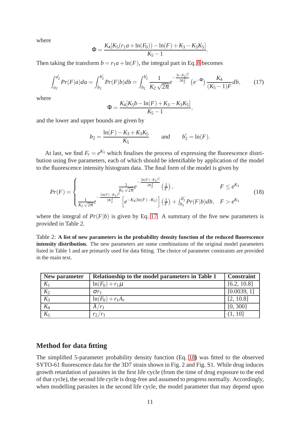where

$$
\Phi = \frac{K_4[K_5(r_1a + \ln(F_0)) - \ln(F) + K_3 - K_3K_5]}{K_5 - 1}.
$$

Then taking the transform  $b = r_1a + \ln(F)$ , the integral part in Eq. [8](#page-9-0) becomes

<span id="page-10-0"></span>
$$
\int_{a_2}^{a'_2} Pr(F|a)da = \int_{b_2}^{b'_2} Pr(F|b)db = \int_{b_2}^{b'_2} \frac{1}{K_2\sqrt{2\pi}} e^{-\frac{[b-K_1]^2}{2K_2^2}} \left(e^{-\Phi}\right) \frac{K_4}{(K_5-1)F} db,\tag{17}
$$

where

$$
\Phi = \frac{K_4[K_5b - \ln(F) + K_3 - K_3K_5]}{K_5 - 1},
$$

and the lower and upper bounds are given by

$$
b_2 = \frac{\ln(F) - K_3 + K_3 K_5}{K_5}
$$
 and  $b'_2 = \ln(F)$ .

At last, we find  $F_r = e^{K_3}$  which finalises the process of expressing the fluorescence distribution using five parameters, each of which should be identifiable by application of the model to the fluorescence intensity histogram data. The final form of the model is given by

<span id="page-10-1"></span>
$$
Pr(F) = \begin{cases} \frac{1}{K_2 \sqrt{2\pi}} e^{-\frac{[\ln(F) - K_1]^2}{2K_2^2}} \left(\frac{1}{F}\right), & F \le e^{K_3} \\ \frac{1}{K_2 \sqrt{2\pi}} e^{-\frac{(\ln(F) - K_1)^2}{2K_2^2}} \left[e^{-K_4(\ln(F) - K_3)}\right] \left(\frac{1}{F}\right) + \int_{b_2}^{b_2'} Pr(F|b) db, & F > e^{K_3} \end{cases}
$$
(18)

where the integral of  $Pr(F|b)$  is given by Eq. [17.](#page-10-0) A summary of the five new parameters is provided in Table 2.

Table 2: **A list of new parameters in the probability density function of the reduced fluorescence intensity distribution.** The new parameters are some combinations of the original model parameters listed in Table 1 and are primarily used for data fitting. The choice of parameter constraints are provided in the main text.

| New parameter | Relationship to the model parameters in Table 1 | <b>Constraint</b> |
|---------------|-------------------------------------------------|-------------------|
| $K_1$         | $\ln(F_0) + r_1 \mu$                            | [6.2, 10.8]       |
| $K_2$         | $\sigma r_1$                                    | [0.0039, 1]       |
| $K_3$         | $ln(F_0) + r_1 A_r$                             | [2, 10.8]         |
| $K_4$         | $\lambda/r_1$                                   | [0, 300]          |
| $K_5$         | $r_2/r_1$                                       | (1, 10]           |

#### **Method for data fitting**

The simplified 5-parameter probability density function (Eq. [18\)](#page-10-1) was fitted to the observed SYTO-61 fluorescence data for the 3D7 strain shown in Fig. 2 and Fig. S1. While drug induces growth retardation of parasites in the first life cycle (from the time of drug exposure to the end of that cycle), the second life cycle is drug-free and assumed to progress normally. Accordingly, when modelling parasites in the second life cycle, the model parameter that may depend upon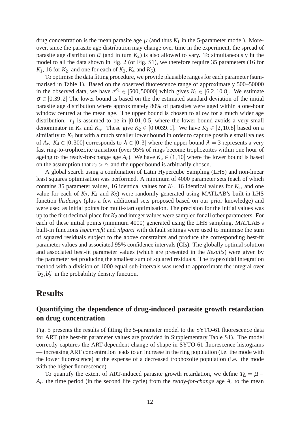drug concentration is the mean parasite age  $\mu$  (and thus  $K_1$  in the 5-parameter model). Moreover, since the parasite age distribution may change over time in the experiment, the spread of parasite age distribution  $\sigma$  (and in turn  $K_2$ ) is also allowed to vary. To simultaneously fit the model to all the data shown in Fig. 2 (or Fig. S1), we therefore require 35 parameters (16 for  $K_1$ , 16 for  $K_2$ , and one for each of  $K_3$ ,  $K_4$  and  $K_5$ ).

To optimise the data fitting procedure, we provide plausible ranges for each parameter (summarised in Table 1). Based on the observed fluorescence range of approximately 500–50000 in the observed data, we have  $e^{K_1} \in [500, 50000]$  which gives  $K_1 \in [6.2, 10.8]$ . We estimate  $\sigma \in [0.39, 2]$  The lower bound is based on the the estimated standard deviation of the initial parasite age distribution where approximately 80% of parasites were aged within a one-hour window centred at the mean age. The upper bound is chosen to allow for a much wider age distribution.  $r_1$  is assumed to be in  $[0.01, 0.5]$  where the lower bound avoids a very small denominator in  $K_4$  and  $K_5$ . These give  $K_2 \in [0.0039, 1]$ . We have  $K_3 \in [2, 10.8]$  based on a similarity to  $K_1$  but with a much smaller lower bound in order to capture possible small values of *A<sub>r</sub>*.  $K_4 \in [0,300]$  corresponds to  $\lambda \in [0,3]$  where the upper bound  $\lambda = 3$  represents a very fast ring-to-trophozoite transition (over 95% of rings become trophozoites within one hour of ageing to the ready-for-change age  $A_r$ ). We have  $K_5 \in (1, 10]$  where the lower bound is based on the assumption that  $r_2 > r_1$  and the upper bound is arbitrarily chosen.

A global search using a combination of Latin Hypercube Sampling (LHS) and non-linear least squares optimisation was performed. A minimum of 4000 parameter sets (each of which contains 35 parameter values, 16 identical values for  $K_1$ , 16 identical values for  $K_2$ , and one value for each of  $K_3$ ,  $K_4$  and  $K_5$ ) were randomly generated using MATLAB's built-in LHS function *lhsdesign* (plus a few additional sets proposed based on our prior knowledge) and were used as initial points for multi-start optimisation. The precision for the initial values was up to the first decimal place for *K*<sup>2</sup> and integer values were sampled for all other parameters. For each of these initial points (minimum 4000) generated using the LHS sampling, MATLAB's built-in functions *lsqcurvefit* and *nlparci* with default settings were used to minimise the sum of squared residuals subject to the above constraints and produce the corresponding best-fit parameter values and associated 95% confidence intervals (CIs). The globally optimal solution and associated best-fit parameter values (which are presented in the *Results*) were given by the parameter set producing the smallest sum of squared residuals. The trapezoidal integration method with a division of 1000 equal sub-intervals was used to approximate the integral over  $[b_2, b'_2]$  in the probability density function.

### **Results**

### **Quantifying the dependence of drug-induced parasite growth retardation on drug concentration**

Fig. 5 presents the results of fitting the 5-parameter model to the SYTO-61 fluorescence data for ART (the best-fit parameter values are provided in Supplementary Table S1). The model correctly captures the ART-dependent change of shape in SYTO-61 fluorescence histograms — increasing ART concentration leads to an increase in the ring population (i.e. the mode with the lower fluorescence) at the expense of a decreased trophozoite population (i.e. the mode with the higher fluorescence).

To quantify the extent of ART-induced parasite growth retardation, we define  $T_{\Delta} = \mu -$ *Ar* , the time period (in the second life cycle) from the *ready-for-change* age *A<sup>r</sup>* to the mean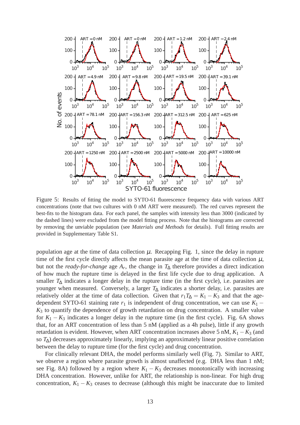

Figure 5: Results of fitting the model to SYTO-61 fluorescence frequency data with various ART concentrations (note that two cultures with 0 nM ART were measured). The red curves represent the best-fits to the histogram data. For each panel, the samples with intensity less than 3000 (indicated by the dashed lines) were excluded from the model fitting process. Note that the histograms are corrected by removing the unviable population (see *Materials and Methods* for details). Full fitting results are provided in Supplementary Table S1.

population age at the time of data collection  $\mu$ . Recapping Fig. 1, since the delay in rupture time of the first cycle directly affects the mean parasite age at the time of data collection  $\mu$ , but not the *ready-for-change* age  $A_r$ , the change in  $T_\Delta$  therefore provides a direct indication of how much the rupture time is delayed in the first life cycle due to drug application. A smaller  $T_\Delta$  indicates a longer delay in the rupture time (in the first cycle), i.e. parasites are younger when measured. Conversely, a larger *T*<sup>∆</sup> indicates a shorter delay, i.e. parasites are relatively older at the time of data collection. Given that  $r_1T_{\Delta} = K_1 - K_3$  and that the agedependent SYTO-61 staining rate  $r_1$  is independent of drug concentration, we can use  $K_1$  − *K*<sup>3</sup> to quantify the dependence of growth retardation on drug concentration. A smaller value for  $K_1 - K_3$  indicates a longer delay in the rupture time (in the first cycle). Fig. 6A shows that, for an ART concentration of less than 5 nM (applied as a 4h pulse), little if any growth retardation is evident. However, when ART concentration increases above 5 nM,  $K_1 - K_3$  (and so *T*∆) decreases approximately linearly, implying an approximately linear positive correlation between the delay to rupture time (for the first cycle) and drug concentration.

For clinically relevant DHA, the model performs similarly well (Fig. 7). Similar to ART, we observe a region where parasite growth is almost unaffected (e.g. DHA less than 1 nM; see Fig. 8A) followed by a region where  $K_1 - K_3$  decreases monotonically with increasing DHA concentration. However, unlike for ART, the relationship is non-linear. For high drug concentration,  $K_1 - K_3$  ceases to decrease (although this might be inaccurate due to limited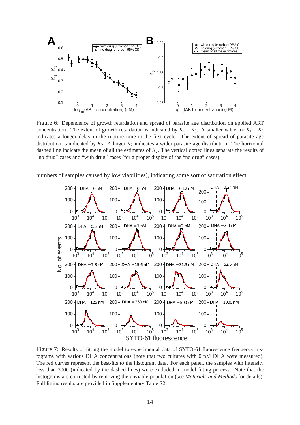

Figure 6: Dependence of growth retardation and spread of parasite age distribution on applied ART concentration. The extent of growth retardation is indicated by  $K_1 - K_3$ . A smaller value for  $K_1 - K_3$ indicates a longer delay in the rupture time in the first cycle. The extent of spread of parasite age distribution is indicated by  $K_2$ . A larger  $K_2$  indicates a wider parasite age distribution. The horizontal dashed line indicate the mean of all the estimates of  $K_2$ . The vertical dotted lines separate the results of "no drug" cases and "with drug" cases (for a proper display of the "no drug" cases).

numbers of samples caused by low viabilities), indicating some sort of saturation effect.



Figure 7: Results of fitting the model to experimental data of SYTO-61 fluorescence frequency histograms with various DHA concentrations (note that two cultures with 0 nM DHA were measured). The red curves represent the best-fits to the histogram data. For each panel, the samples with intensity less than 3000 (indicated by the dashed lines) were excluded in model fitting process. Note that the histograms are corrected by removing the unviable population (see *Materials and Methods* for details). Full fitting results are provided in Supplementary Table S2.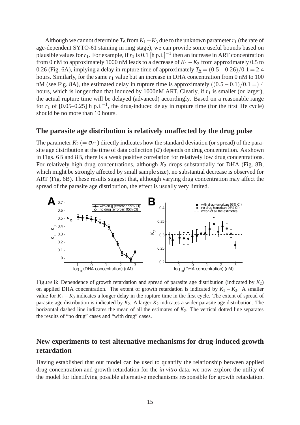Although we cannot determine  $T_{\Delta}$  from  $K_1 - K_3$  due to the unknown parameter  $r_1$  (the rate of age-dependent SYTO-61 staining in ring stage), we can provide some useful bounds based on plausible values for  $r_1$ . For example, if  $r_1$  is 0.1 [h p.i.] $^{-1}$  then an increase in ART concentration from 0 nM to approximately 1000 nM leads to a decrease of  $K_1 - K_3$  from approximately 0.5 to 0.26 (Fig. 6A), implying a delay in rupture time of approximately  $T_{\Delta} = (0.5 - 0.26)/0.1 = 2.4$ hours. Similarly, for the same  $r_1$  value but an increase in DHA concentration from 0 nM to 100 nM (see Fig. 8A), the estimated delay in rupture time is approximately  $((0.5-0.1)/0.1=)$  4 hours, which is longer than that induced by 1000nM ART. Clearly, if  $r_1$  is smaller (or larger), the actual rupture time will be delayed (advanced) accordingly. Based on a reasonable range for  $r_1$  of [0.05–0.25] h p.i.<sup>-1</sup>, the drug-induced delay in rupture time (for the first life cycle) should be no more than 10 hours.

#### **The parasite age distribution is relatively unaffected by the drug pulse**

The parameter  $K_2$  (=  $\sigma r_1$ ) directly indicates how the standard deviation (or spread) of the parasite age distribution at the time of data collection  $(\sigma)$  depends on drug concentration. As shown in Figs. 6B and 8B, there is a weak positive correlation for relatively low drug concentrations. For relatively high drug concentrations, although  $K_2$  drops substantially for DHA (Fig. 8B, which might be strongly affected by small sample size), no substantial decrease is observed for ART (Fig. 6B). These results suggest that, although varying drug concentration may affect the spread of the parasite age distribution, the effect is usually very limited.



Figure 8: Dependence of growth retardation and spread of parasite age distribution (indicated by *K*2) on applied DHA concentration. The extent of growth retardation is indicated by  $K_1 - K_3$ . A smaller value for  $K_1 - K_3$  indicates a longer delay in the rupture time in the first cycle. The extent of spread of parasite age distribution is indicated by *K*2. A larger *K*<sup>2</sup> indicates a wider parasite age distribution. The horizontal dashed line indicates the mean of all the estimates of  $K_2$ . The vertical dotted line separates the results of "no drug" cases and "with drug" cases.

### **New experiments to test alternative mechanisms for drug-induced growth retardation**

Having established that our model can be used to quantify the relationship between applied drug concentration and growth retardation for the *in vitro* data, we now explore the utility of the model for identifying possible alternative mechanisms responsible for growth retardation.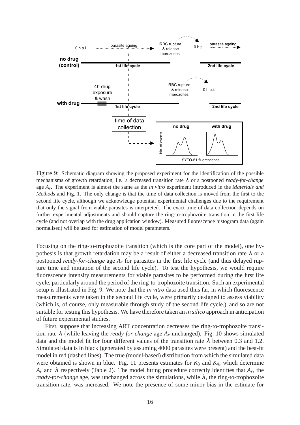

Figure 9: Schematic diagram showing the proposed experiment for the identification of the possible mechanisms of growth retardation, i.e. a decreased transition rate λ or a postponed *ready-for-change* age *A<sup>r</sup>* . The experiment is almost the same as the *in vitro* experiment introduced in the *Materials and Methods* and Fig. 1. The only change is that the time of data collection is moved from the first to the second life cycle, although we acknowledge potential experimental challenges due to the requirement that only the signal from viable parasites is interpreted. The exact time of data collection depends on further experimental adjustments and should capture the ring-to-trophozoite transition in the first life cycle (and not overlap with the drug application window). Measured fluorescence histogram data (again normalised) will be used for estimation of model parameters.

Focusing on the ring-to-trophozoite transition (which is the core part of the model), one hypothesis is that growth retardation may be a result of either a decreased transition rate  $\lambda$  or a postponed *ready-for-change* age *A<sup>r</sup>* for parasites in the first life cycle (and thus delayed rupture time and initiation of the second life cycle). To test the hypothesis, we would require fluorescence intensity measurements for viable parasites to be performed during the first life cycle, particularly around the period of the ring-to-trophozoite transition. Such an experimental setup is illustrated in Fig. 9. We note that the *in vitro* data used thus far, in which fluorescence measurements were taken in the second life cycle, were primarily designed to assess viability (which is, of course, only measurable through study of the second life cycle.) and so are not suitable for testing this hypothesis. We have therefore taken an *in silico* approach in anticipation of future experimental studies.

First, suppose that increasing ART concentration decreases the ring-to-trophozoite transition rate  $\lambda$  (while leaving the *ready-for-change* age  $A_r$  unchanged). Fig. 10 shows simulated data and the model fit for four different values of the transition rate  $\lambda$  between 0.3 and 1.2. Simulated data is in black (generated by assuming 4000 parasites were present) and the best-fit model in red (dashed lines). The true (model-based) distribution from which the simulated data were obtained is shown in blue. Fig. 11 presents estimates for  $K_3$  and  $K_4$ , which determine *A<sub>r</sub>* and  $\lambda$  respectively (Table 2). The model fitting procedure correctly identifies that  $A_r$ , the *ready-for-change* age, was unchanged across the simulations, while  $\lambda$ , the ring-to-trophozoite transition rate, was increased. We note the presence of some minor bias in the estimate for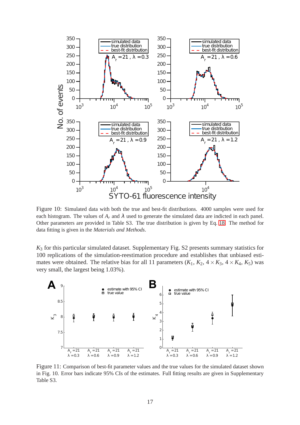

Figure 10: Simulated data with both the true and best-fit distributions. 4000 samples were used for each histogram. The values of  $A_r$  and  $\lambda$  used to generate the simulated data are indicted in each panel. Other parameters are provided in Table S3. The true distribution is given by Eq. [18.](#page-10-1) The method for data fitting is given in the *Materials and Methods*.

*K*<sup>3</sup> for this particular simulated dataset. Supplementary Fig. S2 presents summary statistics for 100 replications of the simulation-reestimation procedure and establishes that unbiased estimates were obtained. The relative bias for all 11 parameters  $(K_1, K_2, 4 \times K_3, 4 \times K_4, K_5)$  was very small, the largest being 1.03%).



Figure 11: Comparison of best-fit parameter values and the true values for the simulated dataset shown in Fig. 10. Error bars indicate 95% CIs of the estimates. Full fitting results are given in Supplementary Table S3.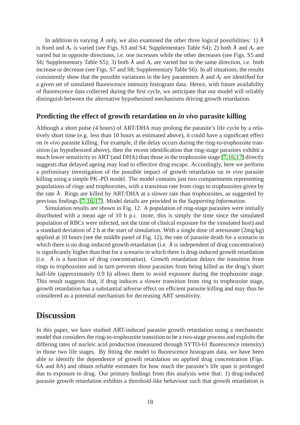In addition to varying  $\lambda$  only, we also examined the other three logical possibilities: 1)  $\lambda$ is fixed and  $A_r$  is varied (see Figs. S3 and S4; Supplementary Table S4); 2) both  $\lambda$  and  $A_r$  are varied but in opposite directions, i.e. one increases while the other decreases (see Figs. S5 and S6; Supplementary Table S5); 3) both  $\lambda$  and  $A_r$  are varied but in the same direction, i.e. both increase or decrease (see Figs. S7 and S8; Supplementary Table S6). In all situations, the results consistently show that the possible variations in the key parameters  $\lambda$  and  $A_r$  are identified for a given set of simulated fluorescence intensity histogram data. Hence, with future availability of fluorescence data collected during the first cycle, we anticipate that our model will reliably distinguish between the alternative hypothesised mechanisms driving growth retardation.

### **Predicting the effect of growth retardation on** *in vivo* **parasite killing**

Although a short pulse (4 hours) of ART/DHA may prolong the parasite's life cycle by a relatively short time (e.g. less than 10 hours as estimated above), it could have a significant effect on *in vivo* parasite killing. For example, if the delay occurs during the ring-to-trophozoite transition (as hypothesised above), then the recent identification that ring-stage parasites exhibit a much lower sensitivity to ART (and DHA) than those in the trophozoite stage [\[7,](#page-20-4)[16,](#page-21-2)[17\]](#page-21-3) directly suggests that delayed ageing may lead to effective drug escape. Accordingly, here we perform a preliminary investigation of the possible impact of growth retardation on *in vivo* parasite killing using a simple PK–PD model. The model contains just two compartments representing populations of rings and trophozoites, with a transition rate from rings to trophozoites given by the rate  $\lambda$ . Rings are killed by ART/DHA at a slower rate than trophozoites, as suggested by previous findings [\[7,](#page-20-4) [16,](#page-21-2) [17\]](#page-21-3). Model details are provided in the *Supporting Information*.

Simulation results are shown in Fig. 12. A population of ring-stage parasites were initially distributed with a mean age of 10 h p.i. (note, this is simply the time since the simulated population of RBCs were infected, not the time of clinical exposure for the simulated host) and a standard deviation of 2 h at the start of simulation. With a single dose of artesunate (2mg/kg) applied at 10 hours (see the middle panel of Fig. 12), the rate of parasite death for a scenario in which there is no drug-induced growth retardation (i.e.  $\lambda$  is independent of drug concentration) is significantly higher than that for a scenario in which there is drug-induced growth retardation (i.e.  $\lambda$  is a function of drug concentration). Growth retardation delays the transition from rings to trophozoites and in turn prevents those parasites from being killed as the drug's short half-life (approximately 0.9 h) allows them to avoid exposure during the trophozoite stage. This result suggests that, if drug induces a slower transition from ring to trophozoite stage, growth retardation has a substantial adverse effect on efficient parasite killing and may thus be considered as a potential mechanism for decreasing ART sensitivity.

### **Discussion**

In this paper, we have studied ART-induced parasite growth retardation using a mechanistic model that considers the ring-to-trophozoite transition to be a two-stage process and exploits the differing rates of nucleic acid production (measured through SYTO-61 fluorescence intensity) in those two life stages. By fitting the model to fluorescence histogram data, we have been able to identify the dependence of growth retardation on applied drug concentration (Figs. 6A and 8A) and obtain reliable estimates for how much the parasite's life span is prolonged due to exposure to drug. Our primary findings from this analysis were that: 1) drug-induced parasite growth retardation exhibits a threshold-like behaviour such that growth retardation is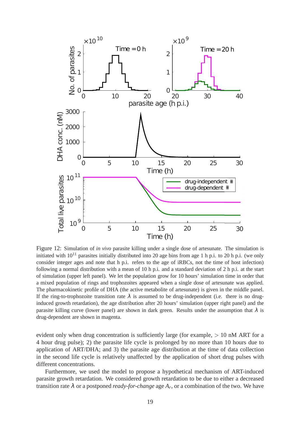

Figure 12: Simulation of *in vivo* parasite killing under a single dose of artesunate. The simulation is initiated with  $10^{11}$  parasites initially distributed into 20 age bins from age 1 h p.i. to 20 h p.i. (we only consider integer ages and note that h p.i. refers to the age of iRBCs, not the time of host infection) following a normal distribution with a mean of 10 h p.i. and a standard deviation of 2 h p.i. at the start of simulation (upper left panel). We let the population grow for 10 hours' simulation time in order that a mixed population of rings and trophozoites appeared when a single dose of artesunate was applied. The pharmacokinetic profile of DHA (the active metabolite of artesunate) is given in the middle panel. If the ring-to-trophozoite transition rate  $\lambda$  is assumed to be drug-independent (i.e. there is no druginduced growth retardation), the age distribution after 20 hours' simulation (upper right panel) and the parasite killing curve (lower panel) are shown in dark green. Results under the assumption that  $\lambda$  is drug-dependent are shown in magenta.

evident only when drug concentration is sufficiently large (for example,  $> 10$  nM ART for a 4 hour drug pulse); 2) the parasite life cycle is prolonged by no more than 10 hours due to application of ART/DHA; and 3) the parasite age distribution at the time of data collection in the second life cycle is relatively unaffected by the application of short drug pulses with different concentrations.

Furthermore, we used the model to propose a hypothetical mechanism of ART-induced parasite growth retardation. We considered growth retardation to be due to either a decreased transition rate  $\lambda$  or a postponed *ready-for-change* age  $A_r$ , or a combination of the two. We have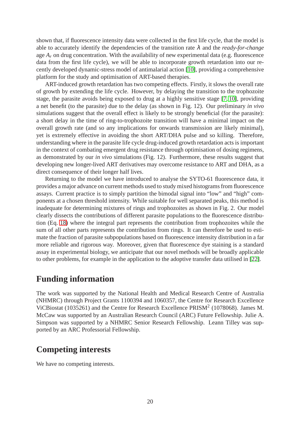shown that, if fluorescence intensity data were collected in the first life cycle, that the model is able to accurately identify the dependencies of the transition rate λ and the *ready-for-change* age  $A_r$  on drug concentration. With the availability of new experimental data (e.g. fluorescence data from the first life cycle), we will be able to incorporate growth retardation into our recently developed dynamic-stress model of antimalarial action [\[10\]](#page-20-6), providing a comprehensive platform for the study and optimisation of ART-based therapies.

ART-induced growth retardation has two competing effects. Firstly, it slows the overall rate of growth by extending the life cycle. However, by delaying the transition to the trophozoite stage, the parasite avoids being exposed to drug at a highly sensitive stage [\[7,](#page-20-4) [10\]](#page-20-6), providing a net benefit (to the parasite) due to the delay (as shown in Fig. 12). Our preliminary *in vivo* simulations suggest that the overall effect is likely to be strongly beneficial (for the parasite): a short delay in the time of ring-to-trophozoite transition will have a minimal impact on the overall growth rate (and so any implications for onwards transmission are likely minimal), yet is extremely effective in avoiding the short ART/DHA pulse and so killing. Therefore, understanding where in the parasite life cycle drug-induced growth retardation acts is important in the context of combating emergent drug resistance through optimisation of dosing regimens, as demonstrated by our *in vivo* simulations (Fig. 12). Furthermore, these results suggest that developing new longer-lived ART derivatives may overcome resistance to ART and DHA, as a direct consequence of their longer half lives.

Returning to the model we have introduced to analyse the SYTO-61 fluorescence data, it provides a major advance on current methods used to study mixed histograms from fluorescence assays. Current practice is to simply partition the bimodal signal into "low" and "high" components at a chosen threshold intensity. While suitable for well separated peaks, this method is inadequate for determining mixtures of rings and trophozoites as shown in Fig. 2. Our model clearly dissects the contributions of different parasite populations to the fluorescence distribution (Eq. [18\)](#page-10-1) where the integral part represents the contribution from trophozoites while the sum of all other parts represents the contribution from rings. It can therefore be used to estimate the fraction of parasite subpopulations based on fluorescence intensity distribution in a far more reliable and rigorous way. Moreover, given that fluorescence dye staining is a standard assay in experimental biology, we anticipate that our novel methods will be broadly applicable to other problems, for example in the application to the adoptive transfer data utilised in [\[22\]](#page-21-8).

# **Funding information**

The work was supported by the National Health and Medical Research Centre of Australia (NHMRC) through Project Grants 1100394 and 1060357, the Centre for Research Excellence ViCBiostat (1035261) and the Centre for Research Excellence  $PRISM^2$  (1078068). James M. McCaw was supported by an Australian Research Council (ARC) Future Fellowship. Julie A. Simpson was supported by a NHMRC Senior Research Fellowship. Leann Tilley was supported by an ARC Professorial Fellowship.

# **Competing interests**

We have no competing interests.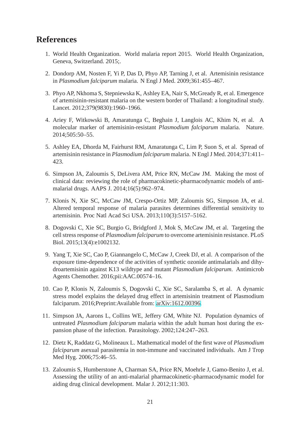# <span id="page-20-0"></span>**References**

- <span id="page-20-1"></span>1. World Health Organization. World malaria report 2015. World Health Organization, Geneva, Switzerland. 2015;.
- 2. Dondorp AM, Nosten F, Yi P, Das D, Phyo AP, Tarning J, et al. Artemisinin resistance in *Plasmodium falciparum* malaria. N Engl J Med. 2009;361:455–467.
- 3. Phyo AP, Nkhoma S, Stepniewska K, Ashley EA, Nair S, McGready R, et al. Emergence of artemisinin-resistant malaria on the western border of Thailand: a longitudinal study. Lancet. 2012;379(9830):1960–1966.
- 4. Ariey F, Witkowski B, Amaratunga C, Beghain J, Langlois AC, Khim N, et al. A molecular marker of artemisinin-resistant *Plasmodium falciparum* malaria. Nature. 2014;505:50–55.
- <span id="page-20-2"></span>5. Ashley EA, Dhorda M, Fairhurst RM, Amaratunga C, Lim P, Suon S, et al. Spread of artemisinin resistance in *Plasmodium falciparum* malaria. N Engl J Med. 2014;371:411– 423.
- <span id="page-20-3"></span>6. Simpson JA, Zaloumis S, DeLivera AM, Price RN, McCaw JM. Making the most of clinical data: reviewing the role of pharmacokinetic-pharmacodynamic models of antimalarial drugs. AAPS J. 2014;16(5):962–974.
- <span id="page-20-4"></span>7. Klonis N, Xie SC, McCaw JM, Crespo-Ortiz MP, Zaloumis SG, Simpson JA, et al. Altered temporal response of malaria parasites determines differential sensitivity to artemisinin. Proc Natl Acad Sci USA. 2013;110(3):5157–5162.
- <span id="page-20-9"></span>8. Dogovski C, Xie SC, Burgio G, Bridgford J, Mok S, McCaw JM, et al. Targeting the cell stress response of *Plasmodium falciparum* to overcome artemisinin resistance. PLoS Biol. 2015;13(4):e1002132.
- <span id="page-20-5"></span>9. Yang T, Xie SC, Cao P, Giannangelo C, McCaw J, Creek DJ, et al. A comparison of the exposure time-dependence of the activities of synthetic ozonide antimalarials and dihydroartemisinin against K13 wildtype and mutant *Plasmodium falciparum*. Antimicrob Agents Chemother. 2016;pii:AAC.00574–16.
- <span id="page-20-6"></span>10. Cao P, Klonis N, Zaloumis S, Dogovski C, Xie SC, Saralamba S, et al. A dynamic stress model explains the delayed drug effect in artemisinin treatment of Plasmodium falciparum. 2016;Preprint:Available from: [arXiv:1612.00396.](http://arxiv.org/abs/1612.00396)
- <span id="page-20-7"></span>11. Simpson JA, Aarons L, Collins WE, Jeffery GM, White NJ. Population dynamics of untreated *Plasmodium falciparum* malaria within the adult human host during the expansion phase of the infection. Parasitology. 2002;124:247–263.
- 12. Dietz K, Raddatz G, Molineaux L. Mathematical model of the first wave of *Plasmodium falciparum* asexual parasitemia in non-immune and vaccinated individuals. Am J Trop Med Hyg. 2006;75:46–55.
- <span id="page-20-8"></span>13. Zaloumis S, Humberstone A, Charman SA, Price RN, Moehrle J, Gamo-Benito J, et al. Assessing the utility of an anti-malarial pharmacokinetic-pharmacodynamic model for aiding drug clinical development. Malar J. 2012;11:303.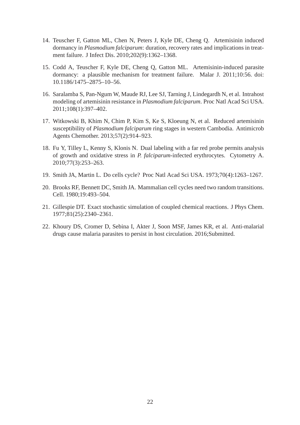- <span id="page-21-0"></span>14. Teuscher F, Gatton ML, Chen N, Peters J, Kyle DE, Cheng Q. Artemisinin induced dormancy in *Plasmodium falciparum*: duration, recovery rates and implications in treatment failure. J Infect Dis. 2010;202(9):1362–1368.
- <span id="page-21-1"></span>15. Codd A, Teuscher F, Kyle DE, Cheng Q, Gatton ML. Artemisinin-induced parasite dormancy: a plausible mechanism for treatment failure. Malar J. 2011;10:56. doi: 10.1186/1475–2875–10–56.
- <span id="page-21-2"></span>16. Saralamba S, Pan-Ngum W, Maude RJ, Lee SJ, Tarning J, Lindegardh N, et al. Intrahost modeling of artemisinin resistance in *Plasmodium falciparum*. Proc Natl Acad Sci USA. 2011;108(1):397–402.
- <span id="page-21-3"></span>17. Witkowski B, Khim N, Chim P, Kim S, Ke S, Kloeung N, et al. Reduced artemisinin susceptibility of *Plasmodium falciparum* ring stages in western Cambodia. Antimicrob Agents Chemother. 2013;57(2):914–923.
- <span id="page-21-4"></span>18. Fu Y, Tilley L, Kenny S, Klonis N. Dual labeling with a far red probe permits analysis of growth and oxidative stress in *P. falciparum*-infected erythrocytes. Cytometry A. 2010;77(3):253–263.
- <span id="page-21-6"></span><span id="page-21-5"></span>19. Smith JA, Martin L. Do cells cycle? Proc Natl Acad Sci USA. 1973;70(4):1263–1267.
- <span id="page-21-7"></span>20. Brooks RF, Bennett DC, Smith JA. Mammalian cell cycles need two random transitions. Cell. 1980;19:493–504.
- 21. Gillespie DT. Exact stochastic simulation of coupled chemical reactions. J Phys Chem. 1977;81(25):2340–2361.
- <span id="page-21-8"></span>22. Khoury DS, Cromer D, Sebina I, Akter J, Soon MSF, James KR, et al. Anti-malarial drugs cause malaria parasites to persist in host circulation. 2016;Submitted.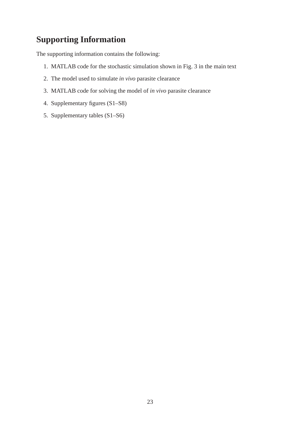# **Supporting Information**

The supporting information contains the following:

- 1. MATLAB code for the stochastic simulation shown in Fig. 3 in the main text
- 2. The model used to simulate *in vivo* parasite clearance
- 3. MATLAB code for solving the model of *in vivo* parasite clearance
- 4. Supplementary figures (S1–S8)
- 5. Supplementary tables (S1–S6)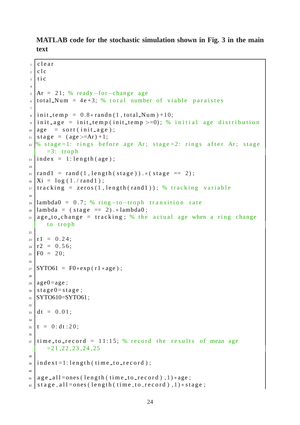**MATLAB code for the stochastic simulation shown in Fig. 3 in the main text**

```
_1 c l e a r
2 c l c
3 \mid \text{tic}4
5 \text{ Ar} = 21; % ready-for-change age
\epsilon total Num = 4e+3; % total number of viable paraistes
7
\vert s \vert in it_temp = 0.8 \vert s \vert randn (1, total_Num) +10;
\frac{1}{2} init_age = init_temp(init_temp >=0); % initial age distribution
_{10} age = sort (init_age);
_{11} stage = (age >=Ar ) +1;
12 \, % stage =1: rings before age Ar; stage =2: rings after Ar; stage
      =3: troph
13 | index = 1: length (age);
14
15 rand1 = rand (1, length (stage)). * (stage == 2);
_{16} \vert Xi = \vert log (1./rand1);
17 tracking = zeros (1, length (rand1)); % tracking variable
18
19 lambda0 = 0.7; % ring -to-troph transition rate
_{20} | lambda = (stage = 2). * lambda0;
_{21} age_to_change = tracking; % the actual age when a ring change
      to troph
2223 |r1 = 0.24;
r^2 = 0.56;
_{25} | F0 = 20;
26_{27} SYTO61 = F0*exp(r1*age);
28
_{29} age0=age;
30 \text{ s} tage 0 = stage;
31 SYTO610=SYTO61;
32
33 \text{ d}t = 0.01;
34
35 \mid t = 0 : dt : 20;
36
37 \text{ time-to-record} = 11:15; % record the results of mean age
      =21 ,22 ,23 ,24 ,25
38
39 \mid indext=1: length (time_to_record);
40
_{41} age_all=ones (length (time_to_record), 1) *age;
_{42} stage_all=ones (length (time_to_record), 1) * stage;
```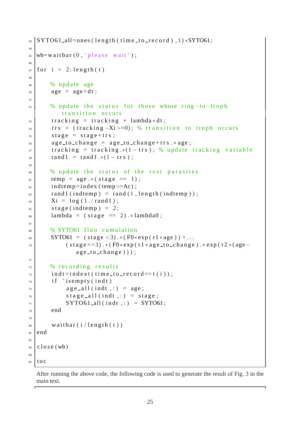```
_{43} SYTO61_all=ones (length (time_to_record), 1) *SYTO61;
44
45 \vert \text{wb}= \text{wa} it \text{bar}(0, \text{' please wait'});46
_{47} for i = 2: length (t)
48
49 % update age
\begin{array}{c|c}\n\text{50} & \text{age} = \text{age} + \text{dt} ;\n\end{array}51
52 % update the status for those whose ring-to-troph
                 transition occurs
\begin{array}{rcl} 53 & \text{tracking} = \text{tracking} + \text{lambda}*dt; \end{array}\begin{array}{c|c|c|c|c|c|c|c|c} \text{tr} & \text{tr} & \text{tr} & \text{tr} & \text{tr} & \text{tr} & \text{tr} & \text{tr} & \text{tr} & \text{tr} & \text{tr} & \text{tr} & \text{tr} & \text{tr} & \text{tr} & \text{tr} & \text{tr} & \text{tr} & \text{tr} & \text{tr} & \text{tr} & \text{tr} & \text{tr} & \text{tr} & \text{tr} & \text{tr} & \text{tr} & \text{tr} & \text{tr} & \text{tr} & \text{tr} & \text{tr} & \text{tr}\begin{array}{c|c|c|c} 55 & \text{stage} = \text{stage} + \text{trs}; \end{array}_{56} age_to_change = age_to_change+trs .*age;
\sigma tracking = tracking *(1 - tr s); % update tracking variable
\begin{array}{c|c|c|c|c} \text{rand1} & = \text{rand1} \cdot * (1 - \text{trs}) \; ; \end{array}59
60 % update the status of the rest parasites
_{61} temp = age. * (stage == 1);
\omega indtemp=index (temp>=Ar);
\begin{bmatrix} 63 \end{bmatrix} rand 1 (indtemp) = rand (1, length (indtemp));
_{64} Xi = \log(1./rand1);
\sigma stage (indtemp) = 2;
66 lambda = ( s t a g e == 2) . ∗ lambda0 ;
67
\sim 8YTO61 fluo cumulation
69 SYTO61 = ( stage <3). * ( F0*exp(r1*age) ) +...
70 ( stage ==3). * (F0* exp (r1* age_to_change). * exp (r2* (age –
                        age_to_change));
71
\frac{1}{22} % recording results
\sigma ind t = indext ( time _ to _ record = = t ( i ) );
74 if \tilde{ } is empty (indt)
\begin{array}{c|c|c|c|c} \hline \hline \end{array} age_all(indt ,:) = age;
\begin{array}{rcl} \text{76} & \text{stage} & \text{all} & \text{indt} \text{, :} \text{)} \end{array} = stage;
\pi SYTO61_all (indt , : ) = SYTO61;
78 end
79
\begin{array}{c|c} \n\text{so} & \text{waitbar} \text{ (i / length ( t ))}\n\end{array}_{81} end
82
\vert c l o s e (wb)
84
85 \mid \text{to} \infty
```
After running the above code, the following code is used to generate the result of Fig. 3 in the main text.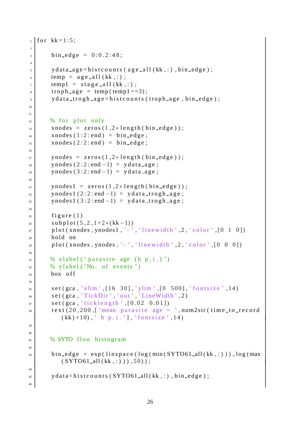```
_1 for kk = 1:5;
2
3 \mid bin edge = 0:0.2:48;
4
\mathbf{y} y d a t a _ a g e = h i s t c o u n t s ( a g e _ a l l ( kk , : ), b i n _ e d g e ) ;
\epsilon temp = age_all(kk,:);
7 \mid templ = stage_all(kk,:);
\vert troph age = temp (temp1 ==3);
\vert \cdot \vert y d a t a _t r o g h _ a g e = h i s t c o u n t s ( t r o p h _ a g e , b i n _ e d g e ) ;
10
11
\frac{1}{2} % for plot only
\begin{array}{l} \text{13} \\ \text{31} \end{array} xnodes = zeros(1,2 * length(bin_edge));
\begin{array}{c|c|c|c|c} \n & \text{xnodes} & (1:2:end) = \text{bin-edge}; \n\end{array}\text{15} xnodes (2:2: end) = bin_edge;
16
17 ynodes = zeros (1, 2*length(bin-edge));
_{18} ynodes (2:2: end -1) = ydata_age;
_{19} ynodes (3:2: end -1) = ydata_age;
20
_{21} ynodes 1 = zeros (1,2 * length (bin_edge));
y_2 ynodes1 (2:2: end -1) = ydata_trogh_age;
_{23} ynodes1 (3:2: end -1) = ydata_trogh_age;
2425 figure (1)26 subplot (5, 2, 1+2*(kk-1))p_{\text{27}} plot (xnodes, ynodes1, '−', ' linewidth ',2, ' color ', [0 1 0])
28 hold on
29 plot (xnodes, ynodes, '-', ' line width ', 2, ' color ', [0 0 0])
30
31 % x label ('parasite age (h p.i.)')
\frac{32}{10} % y l a b e l ( 'No. of events')
33 box of f
34
s = \left[ \text{set (gca , 'xlim', [16 30], 'ylim', [0 500], 'fontsize', 14)} \right]\left\{\n \begin{array}{c}\n \text{set (gca, 'TickDir', 'out', 'LineWidth', 2)}\n \end{array}\n\right.37 \text{ s} set (gca, 'ticklength', [0.02 0.01])
\begin{array}{c|c|c|c|c|c} \text{text(20,200,l 'mean parasite age = 'num2str (time_to-record) } \end{array}(kk) +10, ' h p.i.'], 'fontsize', 14)
39
40
41 % SYTO fluo histogram
42
\begin{bmatrix} 43 \end{bmatrix} bin_edge = exp(linspace(log(min(SYTO61_all(kk,:))), log(max)
            (SYTO61_all (kk, :)), 50);
44
\mathbf{y} y d a t a = h ist counts (SYTO61_all (kk,:), b in _e dge);
46
```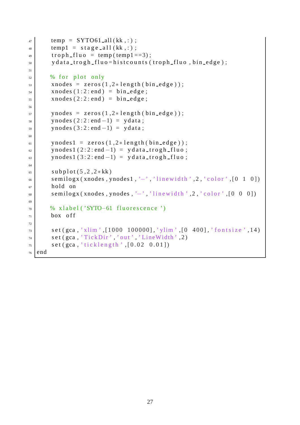```
_{47} temp = SYTO61_all(kk,:);
\begin{array}{c|c|c|c|c} \n & \text{temp1} & = & \text{stage} \text{all} (\text{kk } , : ) ; \n\end{array}_{49} troph fluo = temp(temp1==3);
\mathbf{y}_9 y d a t a _t r o g h _f l u o = h i s t c o u n t s ( t r o p h _f l u o , b i n _e d g e ) ;
51
52 % for plot only
\begin{array}{c|c|c|c} \text{xnodes} & = \text{zeros}(1, 2 * \text{length}(\text{bin\_edge})). \end{array}\mathbf{x}_4 xnodes (1:2: end) = bin_edge;
\begin{array}{r} \text{55} \\ \text{36} \end{array} xnodes (2:2:end) = bin_edge;
56
\sigma ynodes = zeros(1,2 * length (bin_edge));
\mathbf{y}_\text{58} ynodes (2:2: end -1) = ydata;
\mathsf{ynodes}(3:2:\mathsf{end}-1) = \mathsf{ydata};60
_{61} ynodes1 = zeros(1,2 * length(bin_edge));
\sigma ynodes1 (2:2: end -1) = ydata_trogh_fluo;
\sigma_{63} ynodes1(3:2:end -1) = ydata_trogh_fluo;
64
65 subplot(5, 2, 2*kk)66 semilogx(xnodes, ynodes1, '-', ' linewidth', 2, ' color', [0 1 0])
\sigma hold on
68 semilogx(xnodes, ynodes, '−', ' linewidth ', 2, ' color ', [0 \ 0 \ 0])
69
\eta_0 % x label ( 'SYTO–61 fluorescence ')
71 box off
72
\sigma set (gca, 'xlim', [1000 100000], 'ylim', [0 400], 'fontsize', 14)
\begin{array}{c} \text{set (gca, 'TickDir', 'out', 'LineWidth', 2)} \\ \end{array}\sigma set (gca, 'ticklength', [0.02 0.01])
76 end
```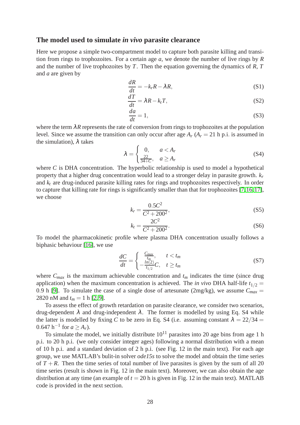#### **The model used to simulate** *in vivo* **parasite clearance**

Here we propose a simple two-compartment model to capture both parasite killing and transition from rings to trophozoites. For a certain age *a*, we denote the number of live rings by *R* and the number of live trophozoites by *T*. Then the equation governing the dynamics of *R*, *T* and *a* are given by

$$
\frac{dR}{dt} = -k_r R - \lambda R,\tag{S1}
$$

$$
\frac{dT}{dt} = \lambda R - k_t T,\tag{S2}
$$

$$
\frac{da}{dt} = 1,\tag{S3}
$$

where the term  $\lambda R$  represents the rate of conversion from rings to trophozoites at the population level. Since we assume the transition can only occur after age  $A_r$  ( $A_r = 21$  h p.i. is assumed in the simulation),  $\lambda$  takes

$$
\lambda = \begin{cases} 0, & a < A_r \\ \frac{22}{34+C}, & a \ge A_r \end{cases}
$$
 (S4)

where *C* is DHA concentration. The hyperbolic relationship is used to model a hypothetical property that a higher drug concentration would lead to a stronger delay in parasite growth. *k<sup>r</sup>* and  $k_t$  are drug-induced parasite killing rates for rings and trophozoites respectively. In order to capture that killing rate for rings is significantly smaller than that for trophozoites [\[7,](#page-20-4)[16,](#page-21-2)[17\]](#page-21-3), we choose

$$
k_r = \frac{0.5C^2}{C^2 + 200^2},
$$
\n(S5)

$$
k_t = \frac{2C^2}{C^2 + 200^2}.
$$
 (S6)

To model the pharmacokinetic profile where plasma DHA concentration usually follows a biphasic behaviour [\[16\]](#page-21-2), we use

$$
\frac{dC}{dt} = \begin{cases}\n\frac{C_{max}}{t_m}, & t < t_m \\
-\frac{\ln(2)}{t_{1/2}}C, & t \ge t_m\n\end{cases} \tag{S7}
$$

where  $C_{max}$  is the maximum achievable concentration and  $t_m$  indicates the time (since drug application) when the maximum concentration is achieved. The *in vivo* DHA half-life  $t_{1/2}$  = 0.9 h [\[9\]](#page-20-5). To simulate the case of a single dose of artesunate (2mg/kg), we assume  $C_{max}$  = 2820 nM and  $t_m = 1$  h [\[2,](#page-20-1) [9\]](#page-20-5).

To assess the effect of growth retardation on parasite clearance, we consider two scenarios, drug-dependent λ and drug-independent λ. The former is modelled by using Eq. S4 while the latter is modelled by fixing *C* to be zero in Eq. S4 (i.e. assuming constant  $\lambda = 22/34 =$ 0.647 h<sup>-1</sup> for  $a \ge A_r$ ).

To simulate the model, we initially distribute  $10^{11}$  parasites into 20 age bins from age 1 h p.i. to 20 h p.i. (we only consider integer ages) following a normal distribution with a mean of 10 h p.i. and a standard deviation of 2 h p.i. (see Fig. 12 in the main text). For each age group, we use MATLAB's bulit-in solver *ode15s* to solve the model and obtain the time series of  $T + R$ . Then the time series of total number of live parasites is given by the sum of all 20 time series (result is shown in Fig. 12 in the main text). Moreover, we can also obtain the age distribution at any time (an example of  $t = 20$  h is given in Fig. 12 in the main text). MATLAB code is provided in the next section.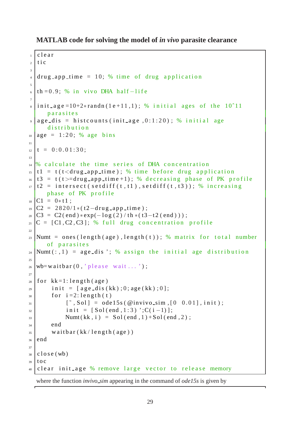**MATLAB code for solving the model of** *in vivo* **parasite clearance**

```
_1 c l e a r
2 \mid \text{tic}3
4 \text{ drug} app time = 10; % time of drug application
5
6 \text{ th} = 0.9; % in vivo DHA half-life
7
\frac{1}{8} init_age =10+2* randn(1e+11,1); % initial ages of the 10<sup>o</sup>11
      p ar a s i t e s
9 \mid age\_dis = histories(int\_age, 0:1:20); % initial aged i stribution
_{10} age = 1:20; % age bins
11
_{12} | t = 0:0.01:30;
13
_{14} % calculate the time series of DHA concentration
15 \mid t1 = t (t drug app time); % time before drug application
_{16} t 3 = t (t >=drug_app_time +1); % decreasing phase of PK profile
17 \mid t2 = \text{intersect}(\text{setdiff}(t, t1), \text{setdiff}(t, t3)); % increasing
      phase of PK profile
18 |C1 = 0*t1;19 |C2 = 2820/1*(t2-drug\_app\_time);_{20} C3 = C2(end) * exp(-\log(2) / th *(t3-t2(end)));
_{21} |C = [C1, C2, C3]; % full drug concentration profile
22
_{23} Numt = ones (length (age), length (t)); % matrix for total number
      of parasites
_{24} Numt(:.1) = age_dis ': % assign the initial age distribution
25
_{26} wb= waitbar (0, 'p lease wait ...');
27
_{28} for kk=1: length (age)
_{29} init = [age_dis(kk);0;age(kk);0];
_{30} for i=2: length (t)
\begin{bmatrix} 31 \end{bmatrix} [ \tilde{S}, Sol ] = ode15s ( @invivo_sim, [0 0.01], init );
\begin{array}{c|c|c|c|c} \n\text{init} & = & \text{[Sol (end , 1 : 3) } \n\end{array}; C(i-1)];
33 Numt(kk, i) = Sol(end, 1)+Sol(end, 2);
34 end
35 waitbar (kk/length (age))
36 end
37
38 \mid c l o s e (wb)
39 \mid \text{to} \text{c}_{40} clear init age % remove large vector to release memory
```
where the function *invivo sim* appearing in the command of *ode15s* is given by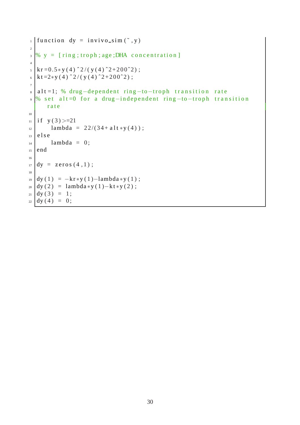```
_1 function dy = invivo_sim (\tilde{ }, y)
2
3 \times y = [\text{ring}; \text{troph}; \text{age}; \text{DHA} \text{ concentration}]4
\frac{1}{5} kr = 0.5* y (4) ^2/(y (4) ^2+200^2);
_{6} k t = 2*y (4) ^2/(y (4) ^2+200^2);
7
\frac{1}{9} alt =1; % drug-dependent ring-to-troph transition rate<br>\frac{1}{9} set alt =0 for a drug-independent ring-to-troph tran
   \frac{1}{2} set alt = 0 for a drug-independent ring-to-troph transition
         rate
10
_{11} if y(3) > = 21\begin{array}{c|c|c}\n & \text{lambda} & = & 22/(34 + \text{alt} * \text{y} (4)); \\
\text{else}\n\end{array}e l s e
\lceil \frac{14}{9} \rceil lambda = 0;
_{15} end
16
_{17} dy = zeros (4,1);
18
_{19} dy (1) = -kr*y(1)-lambda ∗y (1);
_{20} dy (2) = lambda *y (1)–kt *y (2);
_{21} dy (3) = 1;
_{22} dy (4) = 0;
```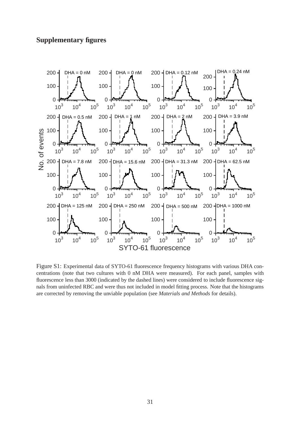### **Supplementary figures**



Figure S1: Experimental data of SYTO-61 fluorescence frequency histograms with various DHA concentrations (note that two cultures with 0 nM DHA were measured). For each panel, samples with fluorescence less than 3000 (indicated by the dashed lines) were considered to include fluorescence signals from uninfected RBC and were thus not included in model fitting process. Note that the histograms are corrected by removing the unviable population (see *Materials and Methods* for details).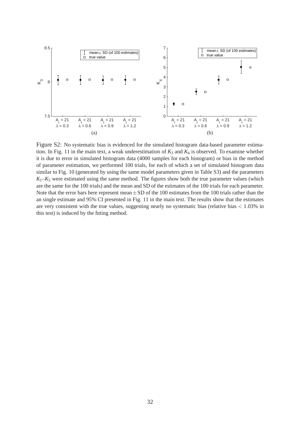

Figure S2: No systematic bias is evidenced for the simulated histogram data-based parameter estimation. In Fig. 11 in the main text, a weak underestimation of  $K_3$  and  $K_4$  is observed. To examine whether it is due to error in simulated histogram data (4000 samples for each histogram) or bias in the method of parameter estimation, we performed 100 trials, for each of which a set of simulated histogram data similar to Fig. 10 (generated by using the same model parameters given in Table S3) and the parameters  $K_1-K_5$  were estimated using the same method. The figures show both the true parameter values (which are the same for the 100 trials) and the mean and SD of the estimates of the 100 trials for each parameter. Note that the error bars here represent mean $\pm$ SD of the 100 estimates from the 100 trials rather than the an single estimate and 95% CI presented in Fig. 11 in the main text. The results show that the estimates are very consistent with the true values, suggesting nearly no systematic bias (relative bias < 1.03% in this test) is induced by the fitting method.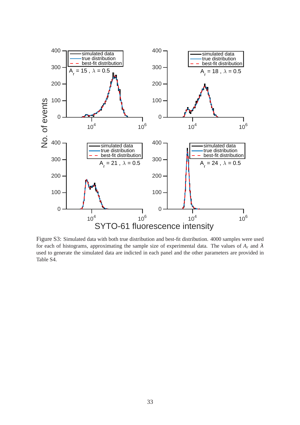

Figure S3: Simulated data with both true distribution and best-fit distribution. 4000 samples were used for each of histograms, approximating the sample size of experimental data. The values of  $A_r$  and  $\lambda$ used to generate the simulated data are indicted in each panel and the other parameters are provided in Table S4.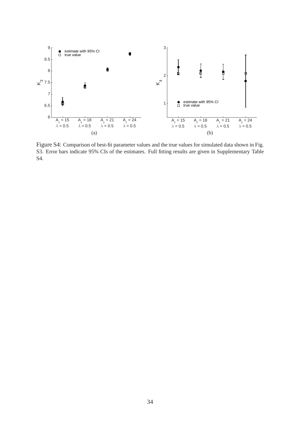

Figure S4: Comparison of best-fit parameter values and the true values for simulated data shown in Fig. S3. Error bars indicate 95% CIs of the estimates. Full fitting results are given in Supplementary Table S4.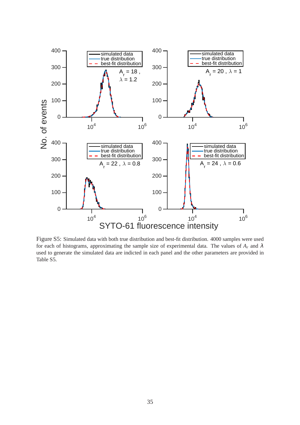

Figure S5: Simulated data with both true distribution and best-fit distribution. 4000 samples were used for each of histograms, approximating the sample size of experimental data. The values of  $A_r$  and  $\lambda$ used to generate the simulated data are indicted in each panel and the other parameters are provided in Table S5.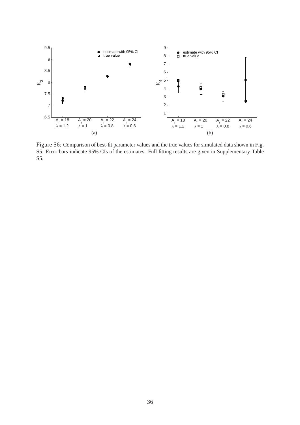

Figure S6: Comparison of best-fit parameter values and the true values for simulated data shown in Fig. S5. Error bars indicate 95% CIs of the estimates. Full fitting results are given in Supplementary Table S5.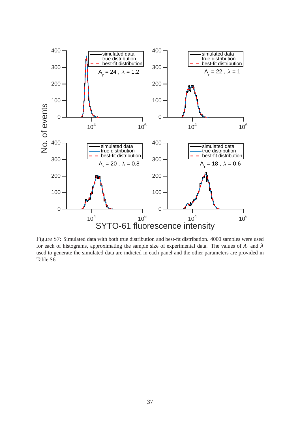

Figure S7: Simulated data with both true distribution and best-fit distribution. 4000 samples were used for each of histograms, approximating the sample size of experimental data. The values of  $A_r$  and  $\lambda$ used to generate the simulated data are indicted in each panel and the other parameters are provided in Table S6.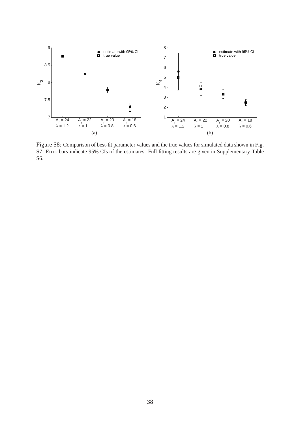

Figure S8: Comparison of best-fit parameter values and the true values for simulated data shown in Fig. S7. Error bars indicate 95% CIs of the estimates. Full fitting results are given in Supplementary Table S6.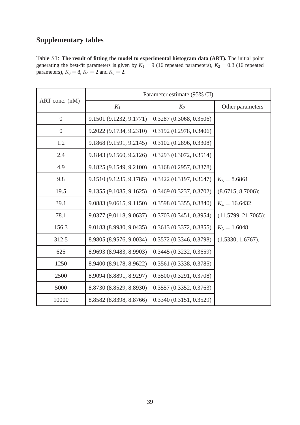# **Supplementary tables**

Table S1: **The result of fitting the model to experimental histogram data (ART).** The initial point generating the best-fit parameters is given by  $K_1 = 9$  (16 repeated parameters),  $K_2 = 0.3$  (16 repeated parameters),  $K_3 = 8$ ,  $K_4 = 2$  and  $K_5 = 2$ .

|                | Parameter estimate (95% CI) |                         |                     |  |  |
|----------------|-----------------------------|-------------------------|---------------------|--|--|
| ART conc. (nM) | $K_1$                       | $K_2$                   | Other parameters    |  |  |
| $\overline{0}$ | 9.1501 (9.1232, 9.1771)     | 0.3287(0.3068, 0.3506)  |                     |  |  |
| $\theta$       | 9.2022 (9.1734, 9.2310)     | 0.3192(0.2978, 0.3406)  |                     |  |  |
| 1.2            | 9.1868 (9.1591, 9.2145)     | 0.3102 (0.2896, 0.3308) |                     |  |  |
| 2.4            | 9.1843 (9.1560, 9.2126)     | 0.3293(0.3072, 0.3514)  |                     |  |  |
| 4.9            | 9.1825 (9.1549, 9.2100)     | 0.3168(0.2957, 0.3378)  |                     |  |  |
| 9.8            | 9.1510 (9.1235, 9.1785)     | 0.3422(0.3197, 0.3647)  | $K_3 = 8.6861$      |  |  |
| 19.5           | 9.1355 (9.1085, 9.1625)     | 0.3469(0.3237, 0.3702)  | (8.6715, 8.7006);   |  |  |
| 39.1           | 9.0883 (9.0615, 9.1150)     | 0.3598(0.3355, 0.3840)  | $K_4 = 16.6432$     |  |  |
| 78.1           | 9.0377 (9.0118, 9.0637)     | 0.3703(0.3451, 0.3954)  | (11.5799, 21.7065); |  |  |
| 156.3          | 9.0183 (8.9930, 9.0435)     | 0.3613(0.3372, 0.3855)  | $K_5 = 1.6048$      |  |  |
| 312.5          | 8.9805 (8.9576, 9.0034)     | 0.3572 (0.3346, 0.3798) | (1.5330, 1.6767).   |  |  |
| 625            | 8.9693 (8.9483, 8.9903)     | 0.3445(0.3232, 0.3659)  |                     |  |  |
| 1250           | 8.9400 (8.9178, 8.9622)     | 0.3561(0.3338, 0.3785)  |                     |  |  |
| 2500           | 8.9094 (8.8891, 8.9297)     | 0.3500(0.3291, 0.3708)  |                     |  |  |
| 5000           | 8.8730 (8.8529, 8.8930)     | 0.3557(0.3352, 0.3763)  |                     |  |  |
| 10000          | 8.8582 (8.8398, 8.8766)     | 0.3340(0.3151, 0.3529)  |                     |  |  |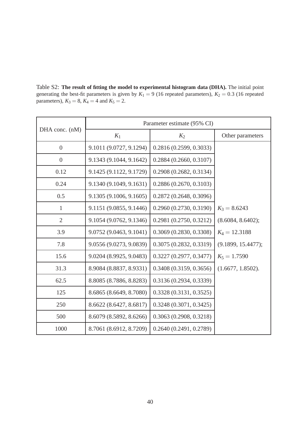Table S2: **The result of fitting the model to experimental histogram data (DHA).** The initial point generating the best-fit parameters is given by  $K_1 = 9$  (16 repeated parameters),  $K_2 = 0.3$  (16 repeated parameters),  $K_3 = 8$ ,  $K_4 = 4$  and  $K_5 = 2$ .

|                  | Parameter estimate (95% CI) |                        |                    |  |  |
|------------------|-----------------------------|------------------------|--------------------|--|--|
| DHA conc. (nM)   | $K_1$                       | $K_2$                  | Other parameters   |  |  |
| $\boldsymbol{0}$ | 9.1011 (9.0727, 9.1294)     | 0.2816(0.2599, 0.3033) |                    |  |  |
| $\overline{0}$   | 9.1343 (9.1044, 9.1642)     | 0.2884(0.2660, 0.3107) |                    |  |  |
| 0.12             | 9.1425 (9.1122, 9.1729)     | 0.2908(0.2682, 0.3134) |                    |  |  |
| 0.24             | 9.1340 (9.1049, 9.1631)     | 0.2886(0.2670, 0.3103) |                    |  |  |
| 0.5              | 9.1305 (9.1006, 9.1605)     | 0.2872(0.2648, 0.3096) |                    |  |  |
| 1                | 9.1151 (9.0855, 9.1446)     | 0.2960(0.2730, 0.3190) | $K_3 = 8.6243$     |  |  |
| $\mathfrak{2}$   | 9.1054 (9.0762, 9.1346)     | 0.2981(0.2750, 0.3212) | (8.6084, 8.6402);  |  |  |
| 3.9              | 9.0752 (9.0463, 9.1041)     | 0.3069(0.2830, 0.3308) | $K_4 = 12.3188$    |  |  |
| 7.8              | 9.0556 (9.0273, 9.0839)     | 0.3075(0.2832, 0.3319) | (9.1899, 15.4477); |  |  |
| 15.6             | 9.0204 (8.9925, 9.0483)     | 0.3227(0.2977, 0.3477) | $K_5 = 1.7590$     |  |  |
| 31.3             | 8.9084 (8.8837, 8.9331)     | 0.3408(0.3159, 0.3656) | (1.6677, 1.8502).  |  |  |
| 62.5             | 8.8085 (8.7886, 8.8283)     | 0.3136(0.2934, 0.3339) |                    |  |  |
| 125              | 8.6865 (8.6649, 8.7080)     | 0.3328(0.3131, 0.3525) |                    |  |  |
| 250              | 8.6622 (8.6427, 8.6817)     | 0.3248(0.3071, 0.3425) |                    |  |  |
| 500              | 8.6079 (8.5892, 8.6266)     | 0.3063(0.2908, 0.3218) |                    |  |  |
| 1000             | 8.7061 (8.6912, 8.7209)     | 0.2640(0.2491, 0.2789) |                    |  |  |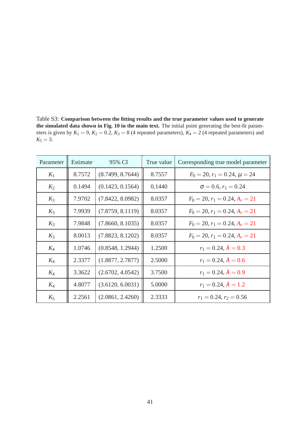Table S3: **Comparison between the fitting results and the true parameter values used to generate the simulated data shown in Fig. 10 in the main text.** The initial point generating the best-fit parameters is given by  $K_1 = 9$ ,  $K_2 = 0.2$ ,  $K_3 = 8$  (4 repeated parameters),  $K_4 = 2$  (4 repeated parameters) and  $K_5 = 3$ .

| Parameter | Estimate | 95% CI           | True value | Corresponding true model parameter |
|-----------|----------|------------------|------------|------------------------------------|
| $K_1$     | 8.7572   | (8.7499, 8.7644) | 8.7557     | $F_0 = 20, r_1 = 0.24, \mu = 24$   |
| $K_2$     | 0.1494   | (0.1423, 0.1564) | 0.1440     | $\sigma = 0.6, r_1 = 0.24$         |
| $K_3$     | 7.9702   | (7.8422, 8.0982) | 8.0357     | $F_0 = 20, r_1 = 0.24, A_r = 21$   |
| $K_3$     | 7.9939   | (7.8759, 8.1119) | 8.0357     | $F_0 = 20, r_1 = 0.24, A_r = 21$   |
| $K_3$     | 7.9848   | (7.8660, 8.1035) | 8.0357     | $F_0 = 20, r_1 = 0.24, A_r = 21$   |
| $K_3$     | 8.0013   | (7.8823, 8.1202) | 8.0357     | $F_0 = 20, r_1 = 0.24, A_r = 21$   |
| $K_4$     | 1.0746   | (0.8548, 1.2944) | 1.2500     | $r_1 = 0.24, \lambda = 0.3$        |
| $K_4$     | 2.3377   | (1.8877, 2.7877) | 2.5000     | $r_1 = 0.24, \lambda = 0.6$        |
| $K_4$     | 3.3622   | (2.6702, 4.0542) | 3.7500     | $r_1 = 0.24, \lambda = 0.9$        |
| $K_4$     | 4.8077   | (3.6120, 6.0031) | 5.0000     | $r_1 = 0.24, \lambda = 1.2$        |
| $K_5$     | 2.2561   | (2.0861, 2.4260) | 2.3333     | $r_1 = 0.24, r_2 = 0.56$           |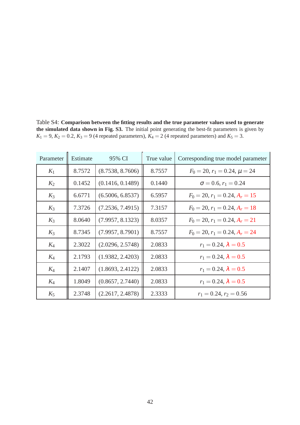| Parameter | Estimate | 95% CI           | True value | Corresponding true model parameter |
|-----------|----------|------------------|------------|------------------------------------|
| $K_1$     | 8.7572   | (8.7538, 8.7606) | 8.7557     | $F_0 = 20, r_1 = 0.24, \mu = 24$   |
| $K_2$     | 0.1452   | (0.1416, 0.1489) | 0.1440     | $\sigma = 0.6, r_1 = 0.24$         |
| $K_3$     | 6.6771   | (6.5006, 6.8537) | 6.5957     | $F_0 = 20, r_1 = 0.24, A_r = 15$   |
| $K_3$     | 7.3726   | (7.2536, 7.4915) | 7.3157     | $F_0 = 20, r_1 = 0.24, A_r = 18$   |
| $K_3$     | 8.0640   | (7.9957, 8.1323) | 8.0357     | $F_0 = 20, r_1 = 0.24, A_r = 21$   |
| $K_3$     | 8.7345   | (7.9957, 8.7901) | 8.7557     | $F_0 = 20, r_1 = 0.24, A_r = 24$   |
| $K_4$     | 2.3022   | (2.0296, 2.5748) | 2.0833     | $r_1 = 0.24, \lambda = 0.5$        |
| $K_4$     | 2.1793   | (1.9382, 2.4203) | 2.0833     | $r_1 = 0.24, \lambda = 0.5$        |
| $K_4$     | 2.1407   | (1.8693, 2.4122) | 2.0833     | $r_1 = 0.24, \lambda = 0.5$        |
| $K_4$     | 1.8049   | (0.8657, 2.7440) | 2.0833     | $r_1 = 0.24, \lambda = 0.5$        |
| $K_5$     | 2.3748   | (2.2617, 2.4878) | 2.3333     | $r_1 = 0.24, r_2 = 0.56$           |

Table S4: **Comparison between the fitting results and the true parameter values used to generate the simulated data shown in Fig. S3.** The initial point generating the best-fit parameters is given by  $K_1 = 9, K_2 = 0.2, K_3 = 9$  (4 repeated parameters),  $K_4 = 2$  (4 repeated parameters) and  $K_5 = 3$ .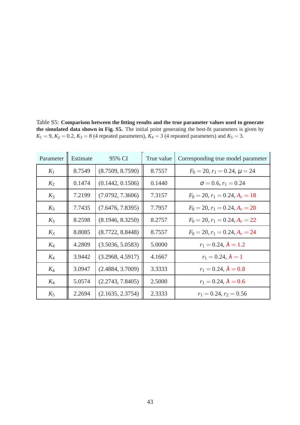| Parameter | Estimate | 95% CI           | True value | Corresponding true model parameter |
|-----------|----------|------------------|------------|------------------------------------|
| $K_1$     | 8.7549   | (8.7509, 8.7590) | 8.7557     | $F_0 = 20, r_1 = 0.24, \mu = 24$   |
| $K_2$     | 0.1474   | (0.1442, 0.1506) | 0.1440     | $\sigma = 0.6, r_1 = 0.24$         |
| $K_3$     | 7.2199   | (7.0792, 7.3606) | 7.3157     | $F_0 = 20, r_1 = 0.24, A_r = 18$   |
| $K_3$     | 7.7435   | (7.6476, 7.8395) | 7.7957     | $F_0 = 20, r_1 = 0.24, A_r = 20$   |
| $K_3$     | 8.2598   | (8.1946, 8.3250) | 8.2757     | $F_0 = 20, r_1 = 0.24, A_r = 22$   |
| $K_3$     | 8.8085   | (8.7722, 8.8448) | 8.7557     | $F_0 = 20, r_1 = 0.24, A_r = 24$   |
| $K_4$     | 4.2809   | (3.5036, 5.0583) | 5.0000     | $r_1 = 0.24, \lambda = 1.2$        |
| $K_4$     | 3.9442   | (3.2968, 4.5917) | 4.1667     | $r_1 = 0.24, \lambda = 1$          |
| $K_4$     | 3.0947   | (2.4884, 3.7009) | 3.3333     | $r_1 = 0.24, \lambda = 0.8$        |
| $K_4$     | 5.0574   | (2.2743, 7.8405) | 2.5000     | $r_1 = 0.24, \lambda = 0.6$        |
| $K_5$     | 2.2694   | (2.1635, 2.3754) | 2.3333     | $r_1 = 0.24, r_2 = 0.56$           |

Table S5: **Comparison between the fitting results and the true parameter values used to generate the simulated data shown in Fig. S5.** The initial point generating the best-fit parameters is given by  $K_1 = 9, K_2 = 0.2, K_3 = 8$  (4 repeated parameters),  $K_4 = 3$  (4 repeated parameters) and  $K_5 = 3$ .